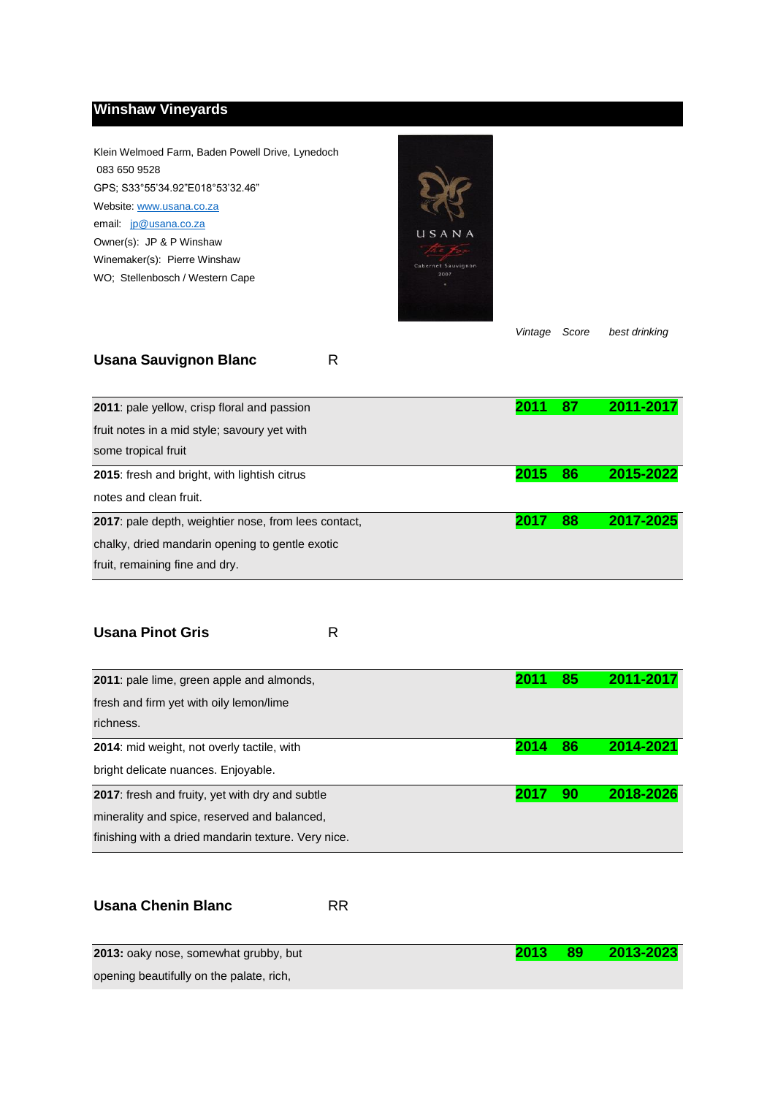## **Winshaw Vineyards**

Klein Welmoed Farm, Baden Powell Drive, Lynedoch 083 650 9528 GPS; S33°55'34.92"E018°53'32.46" Website: www.usana.co.za email: jp@usana.co.za Owner(s): JP & P Winshaw Winemaker(s): Pierre Winshaw WO; Stellenbosch / Western Cape



*Vintage Score best drinking*

## **Usana Sauvignon Blanc** R

| 2011: pale yellow, crisp floral and passion                                                                                                       |       | 87 | 2011-2017 |
|---------------------------------------------------------------------------------------------------------------------------------------------------|-------|----|-----------|
| fruit notes in a mid style; savoury yet with<br>some tropical fruit                                                                               |       |    |           |
| 2015: fresh and bright, with lightish citrus<br>notes and clean fruit.                                                                            | 2015. | 86 | 2015-2022 |
| <b>2017</b> : pale depth, weightier nose, from lees contact,<br>chalky, dried mandarin opening to gentle exotic<br>fruit, remaining fine and dry. |       | 88 | 2017-2025 |

## **Usana Pinot Gris** R

| <b>2011</b> : pale lime, green apple and almonds,      |      | 85 | 2011-2017 |
|--------------------------------------------------------|------|----|-----------|
| fresh and firm yet with oily lemon/lime                |      |    |           |
| richness.                                              |      |    |           |
| <b>2014:</b> mid weight, not overly tactile, with      | 2014 | 86 | 2014-2021 |
| bright delicate nuances. Enjoyable.                    |      |    |           |
| <b>2017:</b> fresh and fruity, yet with dry and subtle | 201  | 90 | 2018-2026 |
| minerality and spice, reserved and balanced,           |      |    |           |
| finishing with a dried mandarin texture. Very nice.    |      |    |           |

| <b>Usana Chenin Blanc</b> |  |
|---------------------------|--|
|                           |  |

| 2013: oaky nose, somewhat grubby, but    | 2013 | - 89 | 2013-2023 |
|------------------------------------------|------|------|-----------|
| opening beautifully on the palate, rich, |      |      |           |